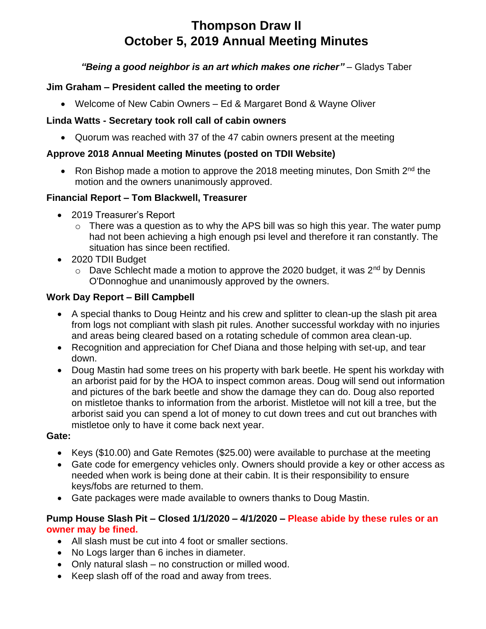# **Thompson Draw II October 5, 2019 Annual Meeting Minutes**

## *"Being a good neighbor is an art which makes one richer"* – Gladys Taber

## **Jim Graham – President called the meeting to order**

• Welcome of New Cabin Owners – Ed & Margaret Bond & Wayne Oliver

## **Linda Watts - Secretary took roll call of cabin owners**

• Quorum was reached with 37 of the 47 cabin owners present at the meeting

## **Approve 2018 Annual Meeting Minutes (posted on TDII Website)**

• Ron Bishop made a motion to approve the 2018 meeting minutes, Don Smith  $2^{nd}$  the motion and the owners unanimously approved.

## **Financial Report – Tom Blackwell, Treasurer**

- 2019 Treasurer's Report
	- $\circ$  There was a question as to why the APS bill was so high this year. The water pump had not been achieving a high enough psi level and therefore it ran constantly. The situation has since been rectified.
- 2020 TDII Budget
	- $\circ$  Dave Schlecht made a motion to approve the 2020 budget, it was 2<sup>nd</sup> by Dennis O'Donnoghue and unanimously approved by the owners.

## **Work Day Report – Bill Campbell**

- A special thanks to Doug Heintz and his crew and splitter to clean-up the slash pit area from logs not compliant with slash pit rules. Another successful workday with no injuries and areas being cleared based on a rotating schedule of common area clean-up.
- Recognition and appreciation for Chef Diana and those helping with set-up, and tear down.
- Doug Mastin had some trees on his property with bark beetle. He spent his workday with an arborist paid for by the HOA to inspect common areas. Doug will send out information and pictures of the bark beetle and show the damage they can do. Doug also reported on mistletoe thanks to information from the arborist. Mistletoe will not kill a tree, but the arborist said you can spend a lot of money to cut down trees and cut out branches with mistletoe only to have it come back next year.

## **Gate:**

- Keys (\$10.00) and Gate Remotes (\$25.00) were available to purchase at the meeting
- Gate code for emergency vehicles only. Owners should provide a key or other access as needed when work is being done at their cabin. It is their responsibility to ensure keys/fobs are returned to them.
- Gate packages were made available to owners thanks to Doug Mastin.

## **Pump House Slash Pit – Closed 1/1/2020 – 4/1/2020 – Please abide by these rules or an owner may be fined.**

- All slash must be cut into 4 foot or smaller sections.
- No Logs larger than 6 inches in diameter.
- Only natural slash no construction or milled wood.
- Keep slash off of the road and away from trees.